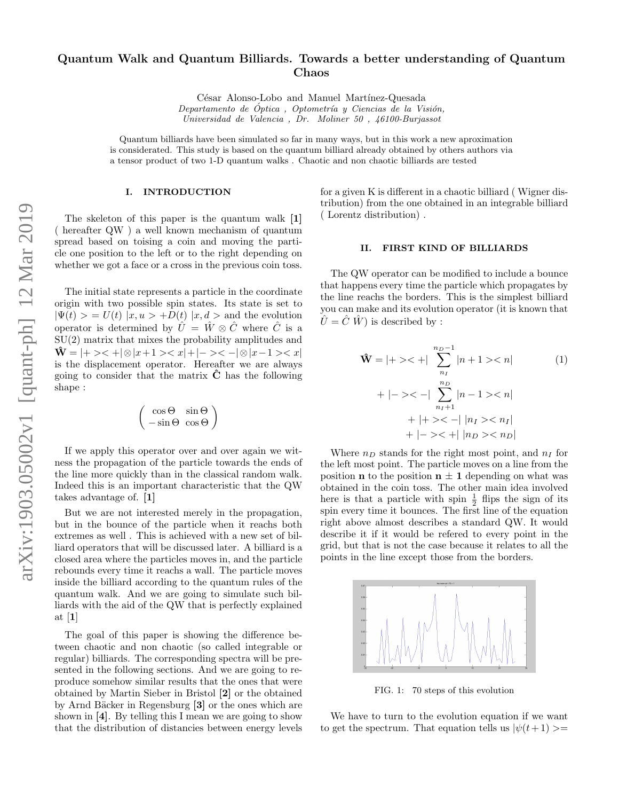# Quantum Walk and Quantum Billiards. Towards a better understanding of Quantum Chaos

César Alonso-Lobo and Manuel Martínez-Quesada Departamento de Óptica, Optometría y Ciencias de la Visión, Universidad de Valencia , Dr. Moliner 50 , 46100-Burjassot

Quantum billiards have been simulated so far in many ways, but in this work a new aproximation is considerated. This study is based on the quantum billiard already obtained by others authors via a tensor product of two 1-D quantum walks . Chaotic and non chaotic billiards are tested

#### I. INTRODUCTION

The skeleton of this paper is the quantum walk [1] ( hereafter QW ) a well known mechanism of quantum spread based on toising a coin and moving the particle one position to the left or to the right depending on whether we got a face or a cross in the previous coin toss.

The initial state represents a particle in the coordinate origin with two possible spin states. Its state is set to  $|\Psi(t)\rangle = U(t) |x, u\rangle + D(t) |x, d\rangle$  and the evolution operator is determined by  $\hat{U} = \hat{W} \otimes \hat{C}$  where  $\hat{C}$  is a SU(2) matrix that mixes the probability amplitudes and  $\hat{\mathbf{W}} = |+>$  < + $|\otimes |x+1>$  < x $|+|->$  < - $|\otimes |x-1>$  < x $|$ is the displacement operator. Hereafter we are always going to consider that the matrix  $\ddot{C}$  has the following shape :

$$
\left(\begin{array}{cc} \cos\Theta & \sin\Theta \\ -\sin\Theta & \cos\Theta \end{array}\right)
$$

If we apply this operator over and over again we witness the propagation of the particle towards the ends of the line more quickly than in the classical random walk. Indeed this is an important characteristic that the QW takes advantage of. [1]

But we are not interested merely in the propagation, but in the bounce of the particle when it reachs both extremes as well . This is achieved with a new set of billiard operators that will be discussed later. A billiard is a closed area where the particles moves in, and the particle rebounds every time it reachs a wall. The particle moves inside the billiard according to the quantum rules of the quantum walk. And we are going to simulate such billiards with the aid of the QW that is perfectly explained at [1]

The goal of this paper is showing the difference between chaotic and non chaotic (so called integrable or regular) billiards. The corresponding spectra will be presented in the following sections. And we are going to reproduce somehow similar results that the ones that were obtained by Martin Sieber in Bristol [2] or the obtained by Arnd Bäcker in Regensburg [3] or the ones which are shown in [4]. By telling this I mean we are going to show that the distribution of distancies between energy levels

for a given K is different in a chaotic billiard ( Wigner distribution) from the one obtained in an integrable billiard ( Lorentz distribution) .

#### II. FIRST KIND OF BILLIARDS

The QW operator can be modified to include a bounce that happens every time the particle which propagates by the line reachs the borders. This is the simplest billiard you can make and its evolution operator (it is known that  $\hat{U} = \hat{C} \hat{W}$  is described by :

$$
\hat{\mathbf{W}} = |+ \rangle \langle + | \sum_{n_I}^{n_D - 1} |n + 1 \rangle \langle n |
$$
\n
$$
+ |-\rangle \langle - | \sum_{n_I + 1}^{n_D} |n - 1 \rangle \langle n |
$$
\n
$$
+ |+ \rangle \langle - |n_I \rangle \langle n_I |
$$
\n
$$
+ |-\rangle \langle + |n_I \rangle \langle n_I |
$$
\n
$$
+ |-\rangle \langle + |n_D \rangle \langle n_D |
$$

Where  $n_D$  stands for the right most point, and  $n_I$  for the left most point. The particle moves on a line from the position **n** to the position  $n \pm 1$  depending on what was obtained in the coin toss. The other main idea involved here is that a particle with spin  $\frac{1}{2}$  flips the sign of its spin every time it bounces. The first line of the equation right above almost describes a standard QW. It would describe it if it would be refered to every point in the grid, but that is not the case because it relates to all the points in the line except those from the borders.



FIG. 1: 70 steps of this evolution

We have to turn to the evolution equation if we want to get the spectrum. That equation tells us  $|\psi(t+1)\rangle =$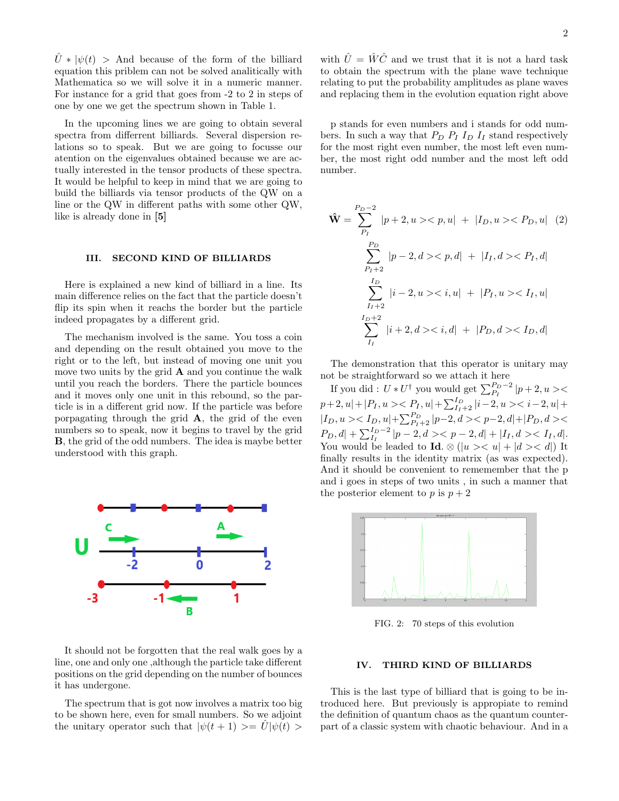$\hat{U} * |\psi(t) >$  And because of the form of the billiard equation this priblem can not be solved analitically with Mathematica so we will solve it in a numeric manner. For instance for a grid that goes from -2 to 2 in steps of one by one we get the spectrum shown in Table 1.

In the upcoming lines we are going to obtain several spectra from differrent billiards. Several dispersion relations so to speak. But we are going to focusse our atention on the eigenvalues obtained because we are actually interested in the tensor products of these spectra. It would be helpful to keep in mind that we are going to build the billiards via tensor products of the QW on a line or the QW in different paths with some other QW, like is already done in [5]

#### III. SECOND KIND OF BILLIARDS

Here is explained a new kind of billiard in a line. Its main difference relies on the fact that the particle doesn't flip its spin when it reachs the border but the particle indeed propagates by a different grid.

The mechanism involved is the same. You toss a coin and depending on the result obtained you move to the right or to the left, but instead of moving one unit you move two units by the grid  $A$  and you continue the walk until you reach the borders. There the particle bounces and it moves only one unit in this rebound, so the particle is in a different grid now. If the particle was before porpagating through the grid  $\bf{A}$ , the grid of the even numbers so to speak, now it begins to travel by the grid B, the grid of the odd numbers. The idea is maybe better understood with this graph.



It should not be forgotten that the real walk goes by a line, one and only one ,although the particle take different positions on the grid depending on the number of bounces it has undergone.

The spectrum that is got now involves a matrix too big to be shown here, even for small numbers. So we adjoint the unitary operator such that  $|\psi(t + 1)\rangle = U|\psi(t)\rangle$ 

with  $\hat{U} = \hat{W}\hat{C}$  and we trust that it is not a hard task to obtain the spectrum with the plane wave technique relating to put the probability amplitudes as plane waves and replacing them in the evolution equation right above

p stands for even numbers and i stands for odd numbers. In such a way that  $P_D$   $P_I$   $I_D$   $I_I$  stand respectively for the most right even number, the most left even number, the most right odd number and the most left odd number.

$$
\hat{\mathbf{W}} = \sum_{P_I}^{P_D - 2} |p + 2, u >< p, u| + |I_D, u >< P_D, u| \quad (2)
$$
\n
$$
\sum_{P_I + 2}^{P_D} |p - 2, d >< p, d| + |I_I, d >< P_I, d|
$$
\n
$$
\sum_{I_I + 2}^{I_D} |i - 2, u >< i, u| + |P_I, u >< I_I, u|
$$
\n
$$
\sum_{I_I}^{I_D + 2} |i + 2, d >< i, d| + |P_D, d >< I_D, d|
$$

The demonstration that this operator is unitary may not be straightforward so we attach it here

If you did :  $U * U^{\dagger}$  you would get  $\sum_{P_I}^{P_D-2} |p+2, u>$  $p+2, u|+|P_I, u>< P_I, u|+\sum_{I_I+2}^{I_D} |i-2, u>< i-2, u|+$  $|I_D, u\rangle < I_D, u| + \sum_{P_I+2}^{P_D} |p-2, d\rangle < p-2, d| + |P_D, d\rangle <$  $P_D, d| + \sum_{I_I}^{I_D-2} |p-2, d\rangle < p-2, d| + |I_I, d\rangle < I_I, d|.$ You would be leaded to **Id**.  $\otimes$  (|u > < u| + |d > < d|) It finally results in the identity matrix (as was expected). And it should be convenient to rememember that the p and i goes in steps of two units , in such a manner that the posterior element to p is  $p + 2$ 



FIG. 2: 70 steps of this evolution

## IV. THIRD KIND OF BILLIARDS

This is the last type of billiard that is going to be introduced here. But previously is appropiate to remind the definition of quantum chaos as the quantum counterpart of a classic system with chaotic behaviour. And in a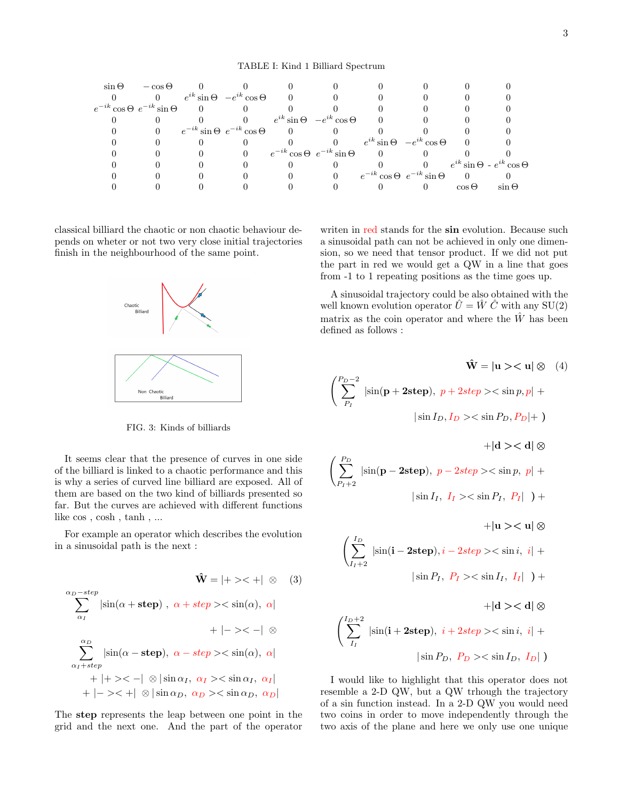| $\sin \Theta$                           | $-\cos\Theta$ |          |                                             |                                         |                                           |                                            |                |                                             |
|-----------------------------------------|---------------|----------|---------------------------------------------|-----------------------------------------|-------------------------------------------|--------------------------------------------|----------------|---------------------------------------------|
|                                         |               |          | 0 $e^{ik} \sin \Theta - e^{ik} \cos \Theta$ |                                         |                                           |                                            |                |                                             |
| $e^{-ik}\cos\Theta \ e^{-ik}\sin\Theta$ |               | $\Omega$ |                                             |                                         |                                           |                                            |                |                                             |
|                                         |               |          |                                             |                                         | $e^{ik} \sin \Theta - e^{ik} \cos \Theta$ |                                            |                |                                             |
|                                         |               |          | $e^{-ik} \sin \Theta \ e^{-ik} \cos \Theta$ |                                         |                                           |                                            |                |                                             |
|                                         |               |          |                                             |                                         |                                           | $e^{ik} \sin \Theta$ $-e^{ik} \cos \Theta$ |                |                                             |
|                                         |               |          |                                             | $e^{-ik}\cos\Theta \ e^{-ik}\sin\Theta$ |                                           |                                            |                |                                             |
|                                         |               |          |                                             |                                         |                                           |                                            |                | 0 $e^{ik} \sin \Theta - e^{ik} \cos \Theta$ |
|                                         |               |          |                                             |                                         |                                           | $e^{-ik}\cos\Theta \ e^{-ik}\sin\Theta$    | $\overline{0}$ |                                             |
|                                         |               |          |                                             |                                         |                                           |                                            | $\cos \Theta$  | $\sin \Theta$                               |

classical billiard the chaotic or non chaotic behaviour depends on wheter or not two very close initial trajectories finish in the neighbourhood of the same point.



FIG. 3: Kinds of billiards

It seems clear that the presence of curves in one side of the billiard is linked to a chaotic performance and this is why a series of curved line billiard are exposed. All of them are based on the two kind of billiards presented so far. But the curves are achieved with different functions like cos , cosh , tanh , ...

For example an operator which describes the evolution in a sinusoidal path is the next :

$$
\hat{\mathbf{W}} = |+ \rangle \langle + | \otimes (3)
$$
\n
$$
\sum_{\alpha_I}^{\alpha_D - step} |\sin(\alpha + \text{step}) , \alpha + \text{step} \rangle \langle \sin(\alpha), \alpha | + | \rangle \langle - | \otimes
$$
\n
$$
\sum_{\alpha_I + step}^{\alpha_D} |\sin(\alpha - \text{step}), \alpha - \text{step} \rangle \langle \sin(\alpha), \alpha | + | \rangle \langle - | \otimes |\sin \alpha_I, \alpha_I \rangle \langle \sin \alpha_I, \alpha_I | + | \rangle \langle + | \otimes |\sin \alpha_D, \alpha_D \rangle \langle \sin \alpha_D, \alpha_D |
$$

The step represents the leap between one point in the grid and the next one. And the part of the operator

writen in red stands for the sin evolution. Because such a sinusoidal path can not be achieved in only one dimension, so we need that tensor product. If we did not put the part in red we would get a QW in a line that goes from -1 to 1 repeating positions as the time goes up.

A sinusoidal trajectory could be also obtained with the well known evolution operator  $\hat{U} = \hat{W} \hat{C}$  with any SU(2) matrix as the coin operator and where the  $\hat{W}$  has been defined as follows :

$$
\hat{\mathbf{W}} = |\mathbf{u}\rangle \langle \mathbf{u} | \otimes (4)
$$
\n
$$
\left(\sum_{P_I}^{P_D-2} |\sin(\mathbf{p} + 2\mathbf{step}), p + 2\mathbf{step}\rangle \langle \sin p, p| + |\sin I_D, I_D\rangle \langle \sin P_D, P_D| + \right)
$$
\n
$$
+ |\mathbf{d}\rangle \langle \mathbf{d}| \otimes
$$
\n
$$
\left(\sum_{P_I+2}^{P_D} |\sin(\mathbf{p} - 2\mathbf{step}), p - 2\mathbf{step}\rangle \langle \sin p, p| + |\sin I_I, I_I\rangle \langle \sin P_I, P_I| \right) + \left|\mathbf{u}\rangle \langle \mathbf{u}| \otimes
$$
\n
$$
\left(\sum_{I_I+2}^{I_D} |\sin(\mathbf{i} - 2\mathbf{step}), \mathbf{i} - 2\mathbf{step}\rangle \langle \sin \mathbf{i}, \mathbf{i}| + |\sin P_I, P_I\rangle \langle \sin I_I, I_I| \right) + \left|\mathbf{d}\rangle \langle \mathbf{d}| \otimes
$$
\n
$$
\left(\sum_{I_I}^{I_D+2} |\sin(\mathbf{i} + 2\mathbf{step}), \mathbf{i} + 2\mathbf{step}\rangle \langle \sin \mathbf{i}, I_I| + |\sin P_D, P_D\rangle \langle \sin I_D, I_D| \right)
$$

I would like to highlight that this operator does not resemble a 2-D QW, but a QW trhough the trajectory of a sin function instead. In a 2-D QW you would need two coins in order to move independently through the two axis of the plane and here we only use one unique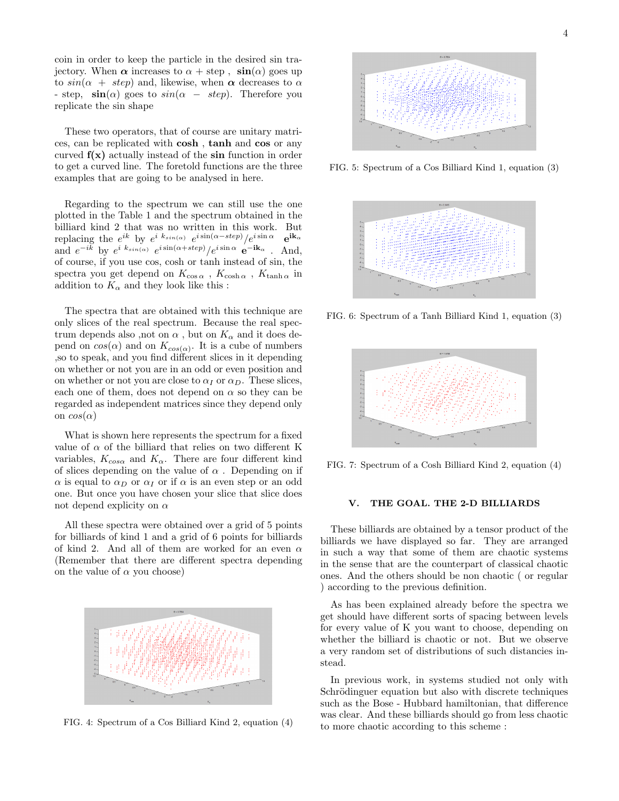coin in order to keep the particle in the desired sin trajectory. When  $\alpha$  increases to  $\alpha$  + step,  $\sin(\alpha)$  goes up to  $sin(\alpha + step)$  and, likewise, when  $\alpha$  decreases to  $\alpha$ - step,  $\sin(\alpha)$  goes to  $\sin(\alpha - \text{step})$ . Therefore you replicate the sin shape

These two operators, that of course are unitary matrices, can be replicated with cosh , tanh and cos or any curved  $f(x)$  actually instead of the sin function in order to get a curved line. The foretold functions are the three examples that are going to be analysed in here.

Regarding to the spectrum we can still use the one plotted in the Table 1 and the spectrum obtained in the billiard kind 2 that was no written in this work. But replacing the  $e^{ik}$  by  $e^{i k_{sin(\alpha)}} e^{i \sin(\alpha - step)} / e^{i \sin \alpha}$   $e^{ik_{\alpha}}$ and  $e^{-ik}$  by  $e^{i k_{sin(\alpha)}} e^{i \sin(\alpha + step)} / e^{i \sin \alpha} e^{-ik_{\alpha}}$ . And, of course, if you use cos, cosh or tanh instead of sin, the spectra you get depend on  $K_{\cos\alpha}$  ,  $K_{\cosh\alpha}$  ,  $K_{\tanh\alpha}$  in addition to  $K_{\alpha}$  and they look like this :

The spectra that are obtained with this technique are only slices of the real spectrum. Because the real spectrum depends also ,not on  $\alpha$ , but on  $K_{\alpha}$  and it does depend on  $cos(\alpha)$  and on  $K_{cos(\alpha)}$ . It is a cube of numbers ,so to speak, and you find different slices in it depending on whether or not you are in an odd or even position and on whether or not you are close to  $\alpha_I$  or  $\alpha_D$ . These slices, each one of them, does not depend on  $\alpha$  so they can be regarded as independent matrices since they depend only on  $cos(\alpha)$ 

What is shown here represents the spectrum for a fixed value of  $\alpha$  of the billiard that relies on two different K variables,  $K_{cos\alpha}$  and  $K_{\alpha}$ . There are four different kind of slices depending on the value of  $\alpha$ . Depending on if  $\alpha$  is equal to  $\alpha_D$  or  $\alpha_I$  or if  $\alpha$  is an even step or an odd one. But once you have chosen your slice that slice does not depend explicity on  $\alpha$ 

All these spectra were obtained over a grid of 5 points for billiards of kind 1 and a grid of 6 points for billiards of kind 2. And all of them are worked for an even  $\alpha$ (Remember that there are different spectra depending on the value of  $\alpha$  you choose)



FIG. 4: Spectrum of a Cos Billiard Kind 2, equation (4)



FIG. 5: Spectrum of a Cos Billiard Kind 1, equation (3)



FIG. 6: Spectrum of a Tanh Billiard Kind 1, equation (3)



FIG. 7: Spectrum of a Cosh Billiard Kind 2, equation (4)

## V. THE GOAL. THE 2-D BILLIARDS

These billiards are obtained by a tensor product of the billiards we have displayed so far. They are arranged in such a way that some of them are chaotic systems in the sense that are the counterpart of classical chaotic ones. And the others should be non chaotic ( or regular ) according to the previous definition.

As has been explained already before the spectra we get should have different sorts of spacing between levels for every value of K you want to choose, depending on whether the billiard is chaotic or not. But we observe a very random set of distributions of such distancies instead.

In previous work, in systems studied not only with Schrödinguer equation but also with discrete techniques such as the Bose - Hubbard hamiltonian, that difference was clear. And these billiards should go from less chaotic to more chaotic according to this scheme :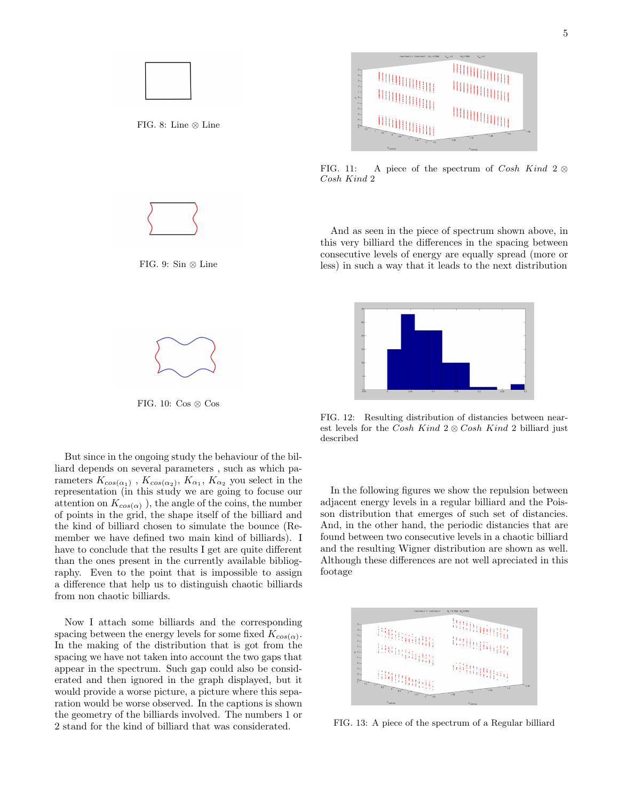

FIG. 11: A piece of the spectrum of Cosh Kind 2  $\otimes$ Cosh Kind 2

And as seen in the piece of spectrum shown above, in this very billiard the differences in the spacing between consecutive levels of energy are equally spread (more or less) in such a way that it leads to the next distribution



FIG. 12: Resulting distribution of distancies between nearest levels for the Cosh Kind  $2 \otimes \cosh$  Kind 2 billiard just described

In the following figures we show the repulsion between adjacent energy levels in a regular billiard and the Poisson distribution that emerges of such set of distancies. And, in the other hand, the periodic distancies that are found between two consecutive levels in a chaotic billiard and the resulting Wigner distribution are shown as well. Although these differences are not well apreciated in this footage



FIG. 13: A piece of the spectrum of a Regular billiard



FIG. 8: Line ⊗ Line



FIG. 9: Sin ⊗ Line



FIG. 10:  $\cos \otimes \cos$ 

But since in the ongoing study the behaviour of the billiard depends on several parameters , such as which parameters  $K_{cos(\alpha_1)}$ ,  $K_{cos(\alpha_2)}$ ,  $K_{\alpha_1}$ ,  $K_{\alpha_2}$  you select in the representation (in this study we are going to focuse our attention on  $K_{cos(\alpha)}$ , the angle of the coins, the number of points in the grid, the shape itself of the billiard and the kind of billiard chosen to simulate the bounce (Remember we have defined two main kind of billiards). I have to conclude that the results I get are quite different than the ones present in the currently available bibliography. Even to the point that is impossible to assign a difference that help us to distinguish chaotic billiards from non chaotic billiards.

Now I attach some billiards and the corresponding spacing between the energy levels for some fixed  $K_{cos(\alpha)}$ . In the making of the distribution that is got from the spacing we have not taken into account the two gaps that appear in the spectrum. Such gap could also be considerated and then ignored in the graph displayed, but it would provide a worse picture, a picture where this separation would be worse observed. In the captions is shown the geometry of the billiards involved. The numbers 1 or 2 stand for the kind of billiard that was considerated.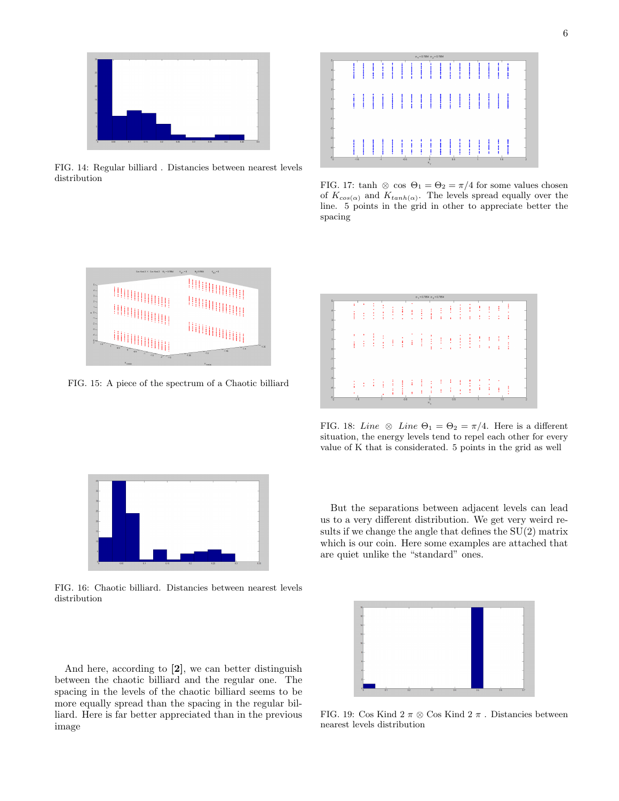

FIG. 14: Regular billiard . Distancies between nearest levels distribution



FIG. 17: tanh ⊗ cos  $\Theta_1 = \Theta_2 = \pi/4$  for some values chosen of  $K_{cos(\alpha)}$  and  $K_{tanh(\alpha)}$ . The levels spread equally over the line. 5 points in the grid in other to appreciate better the spacing



FIG. 15: A piece of the spectrum of a Chaotic billiard

|                                 |        |   |        |        |         |        |   |   | $\sigma_1 = 0.7864$ $\sigma_2 = 0.7864$ |   |        |        |   |   |   |     |   |  |
|---------------------------------|--------|---|--------|--------|---------|--------|---|---|-----------------------------------------|---|--------|--------|---|---|---|-----|---|--|
| ä<br>3 <sup>1</sup>             |        | ٠ |        | ٠<br>٠ | ٠<br>×. | ٠<br>ï | ٠ |   |                                         |   | ż      | ٠      | t | ٠ | t | Ì   | r |  |
| $\overline{2}$<br>ł<br>$\theta$ | ż      | t | ¥<br>٠ | ٠<br>× | ŧ       | ŧ      | ï | ŧ | ł<br>ŧ                                  | ŧ | ŧ      | ٠<br>٠ | ٤ | ÷ | × |     | и |  |
| $-1$<br>속-                      |        |   |        |        |         |        |   |   |                                         |   |        |        |   |   |   |     |   |  |
| ÷<br>$\mathcal{A}$              |        |   |        |        |         |        | ĩ |   |                                         |   | ٠<br>÷ | ŧ      |   |   |   |     |   |  |
| $-\frac{61}{2}$                 | $-1.5$ |   |        | $-1$   |         | $-0.5$ |   |   | $\kappa$                                |   | 0.5    |        |   |   |   | 1.5 |   |  |

FIG. 18: Line  $\otimes$  Line  $\Theta_1 = \Theta_2 = \pi/4$ . Here is a different situation, the energy levels tend to repel each other for every value of K that is considerated. 5 points in the grid as well



FIG. 16: Chaotic billiard. Distancies between nearest levels distribution

And here, according to [2], we can better distinguish between the chaotic billiard and the regular one. The spacing in the levels of the chaotic billiard seems to be more equally spread than the spacing in the regular billiard. Here is far better appreciated than in the previous image

FIG. 19: Cos Kind 2  $\pi \otimes$  Cos Kind 2  $\pi$ . Distancies between nearest levels distribution

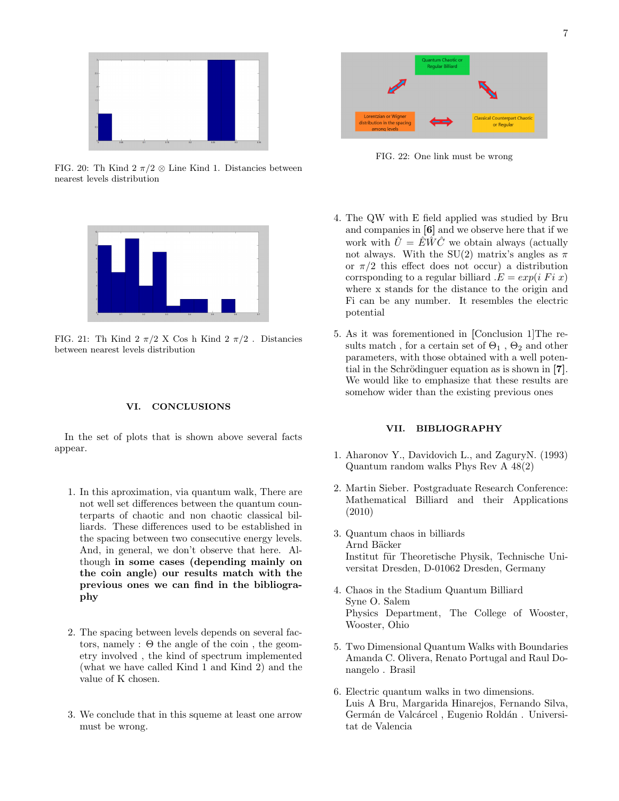

FIG. 20: Th Kind 2  $\pi/2 \otimes$  Line Kind 1. Distancies between nearest levels distribution



FIG. 21: Th Kind 2  $\pi/2$  X Cos h Kind 2  $\pi/2$ . Distancies between nearest levels distribution

## VI. CONCLUSIONS

In the set of plots that is shown above several facts appear.

- 1. In this aproximation, via quantum walk, There are not well set differences between the quantum counterparts of chaotic and non chaotic classical billiards. These differences used to be established in the spacing between two consecutive energy levels. And, in general, we don't observe that here. Although in some cases (depending mainly on the coin angle) our results match with the previous ones we can find in the bibliography
- 2. The spacing between levels depends on several factors, namely :  $\Theta$  the angle of the coin, the geometry involved , the kind of spectrum implemented (what we have called Kind 1 and Kind 2) and the value of K chosen.
- 3. We conclude that in this squeme at least one arrow must be wrong.



FIG. 22: One link must be wrong

- 4. The QW with E field applied was studied by Bru and companies in [6] and we observe here that if we work with  $\hat{U} = \hat{E} \hat{W} \hat{C}$  we obtain always (actually not always. With the SU(2) matrix's angles as  $\pi$ or  $\pi/2$  this effect does not occur) a distribution corrsponding to a regular billiard  $E = exp(i \text{ } Fi \text{ } x)$ where x stands for the distance to the origin and Fi can be any number. It resembles the electric potential
- 5. As it was forementioned in [Conclusion 1]The results match, for a certain set of  $\Theta_1$ ,  $\Theta_2$  and other parameters, with those obtained with a well potential in the Schrödinguer equation as is shown in  $[7]$ . We would like to emphasize that these results are somehow wider than the existing previous ones

## VII. BIBLIOGRAPHY

- 1. Aharonov Y., Davidovich L., and ZaguryN. (1993) Quantum random walks Phys Rev A 48(2)
- 2. Martin Sieber. Postgraduate Research Conference: Mathematical Billiard and their Applications (2010)
- 3. Quantum chaos in billiards Arnd Bäcker Institut für Theoretische Physik, Technische Universitat Dresden, D-01062 Dresden, Germany
- 4. Chaos in the Stadium Quantum Billiard Syne O. Salem Physics Department, The College of Wooster, Wooster, Ohio
- 5. Two Dimensional Quantum Walks with Boundaries Amanda C. Olivera, Renato Portugal and Raul Donangelo . Brasil
- 6. Electric quantum walks in two dimensions. Luis A Bru, Margarida Hinarejos, Fernando Silva, Germán de Valcárcel, Eugenio Roldán. Universitat de Valencia